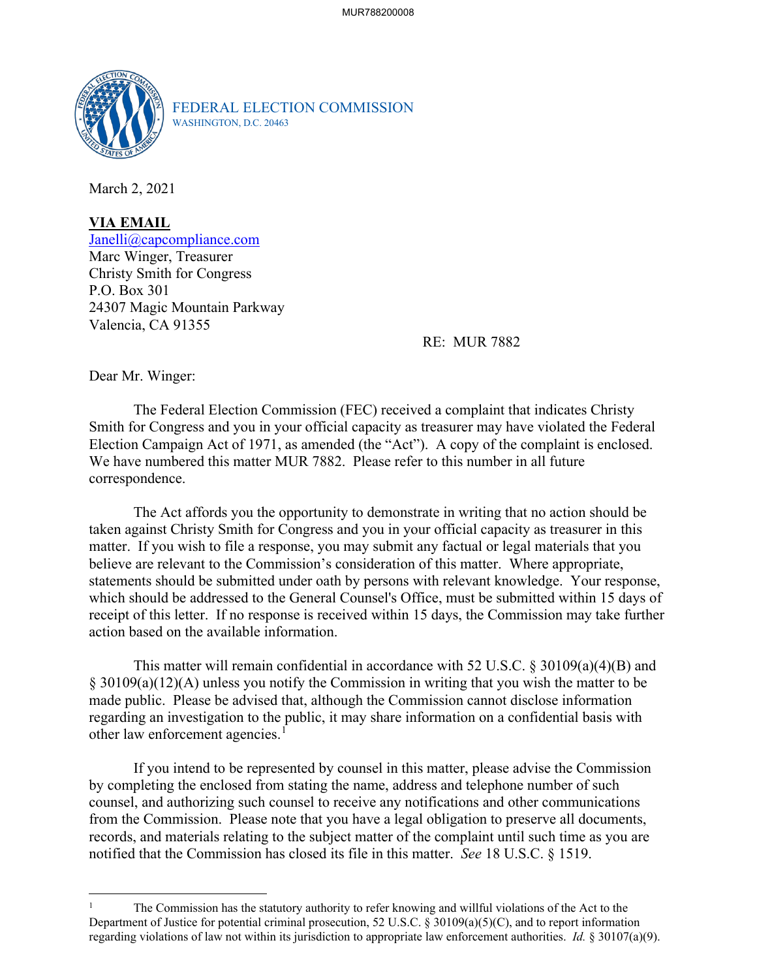

FEDERAL ELECTION COMMISSION WASHINGTON, D.C. 20463

March 2, 2021

**VIA EMAIL**  [Janelli@capcompliance.com](mailto:Janelli@capcompliance.com)

Marc Winger, Treasurer Christy Smith for Congress P.O. Box 301 24307 Magic Mountain Parkway Valencia, CA 91355

RE: MUR 7882

Dear Mr. Winger:

The Federal Election Commission (FEC) received a complaint that indicates Christy Smith for Congress and you in your official capacity as treasurer may have violated the Federal Election Campaign Act of 1971, as amended (the "Act"). A copy of the complaint is enclosed. We have numbered this matter MUR 7882. Please refer to this number in all future correspondence.

 matter. If you wish to file a response, you may submit any factual or legal materials that you receipt of this letter. If no response is received within 15 days, the Commission may take further The Act affords you the opportunity to demonstrate in writing that no action should be taken against Christy Smith for Congress and you in your official capacity as treasurer in this believe are relevant to the Commission's consideration of this matter. Where appropriate, statements should be submitted under oath by persons with relevant knowledge. Your response, which should be addressed to the General Counsel's Office, must be submitted within 15 days of action based on the available information.

 § 30109(a)(12)(A) unless you notify the Commission in writing that you wish the matter to be This matter will remain confidential in accordance with 52 U.S.C. § 30109(a)(4)(B) and made public. Please be advised that, although the Commission cannot disclose information regarding an investigation to the public, it may share information on a confidential basis with other law enforcement agencies.<sup>1</sup>

 If you intend to be represented by counsel in this matter, please advise the Commission from the Commission. Please note that you have a legal obligation to preserve all documents, records, and materials relating to the subject matter of the complaint until such time as you are notified that the Commission has closed its file in this matter. *See* 18 U.S.C. § 1519. by completing the enclosed from stating the name, address and telephone number of such counsel, and authorizing such counsel to receive any notifications and other communications

 Department of Justice for potential criminal prosecution, 52 U.S.C. § 30109(a)(5)(C), and to report information regarding violations of law not within its jurisdiction to appropriate law enforcement authorities. *Id.* § 30107(a)(9). The Commission has the statutory authority to refer knowing and willful violations of the Act to the 1